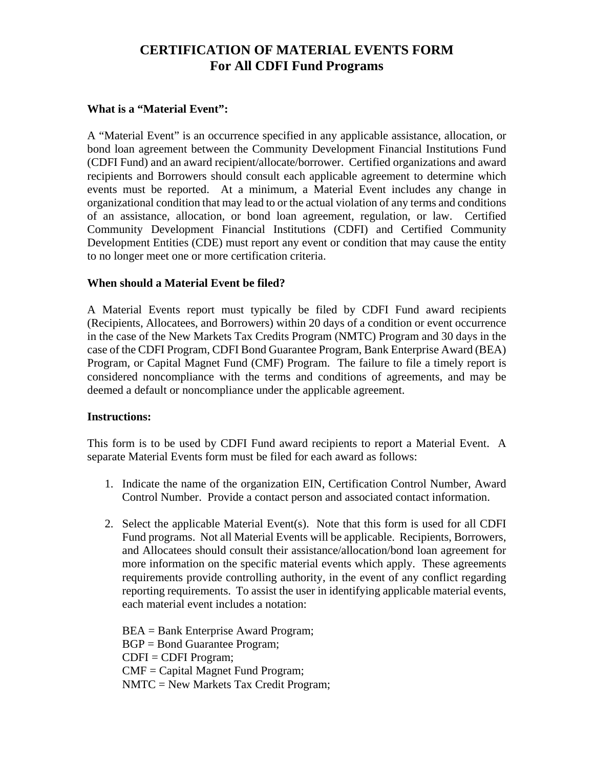## **CERTIFICATION OF MATERIAL EVENTS FORM For All CDFI Fund Programs**

#### **What is a "Material Event":**

A "Material Event" is an occurrence specified in any applicable assistance, allocation, or bond loan agreement between the Community Development Financial Institutions Fund (CDFI Fund) and an award recipient/allocate/borrower. Certified organizations and award recipients and Borrowers should consult each applicable agreement to determine which events must be reported. At a minimum, a Material Event includes any change in organizational condition that may lead to or the actual violation of any terms and conditions of an assistance, allocation, or bond loan agreement, regulation, or law. Certified Community Development Financial Institutions (CDFI) and Certified Community Development Entities (CDE) must report any event or condition that may cause the entity to no longer meet one or more certification criteria.

### **When should a Material Event be filed?**

A Material Events report must typically be filed by CDFI Fund award recipients (Recipients, Allocatees, and Borrowers) within 20 days of a condition or event occurrence in the case of the New Markets Tax Credits Program (NMTC) Program and 30 days in the case of the CDFI Program, CDFI Bond Guarantee Program, Bank Enterprise Award (BEA) Program, or Capital Magnet Fund (CMF) Program. The failure to file a timely report is considered noncompliance with the terms and conditions of agreements, and may be deemed a default or noncompliance under the applicable agreement.

#### **Instructions:**

This form is to be used by CDFI Fund award recipients to report a Material Event. A separate Material Events form must be filed for each award as follows:

- 1. Indicate the name of the organization EIN, Certification Control Number, Award Control Number. Provide a contact person and associated contact information.
- 2. Select the applicable Material Event(s). Note that this form is used for all CDFI Fund programs. Not all Material Events will be applicable. Recipients, Borrowers, and Allocatees should consult their assistance/allocation/bond loan agreement for more information on the specific material events which apply. These agreements requirements provide controlling authority, in the event of any conflict regarding reporting requirements. To assist the user in identifying applicable material events, each material event includes a notation:

BEA = Bank Enterprise Award Program; BGP = Bond Guarantee Program; CDFI = CDFI Program; CMF = Capital Magnet Fund Program; NMTC = New Markets Tax Credit Program;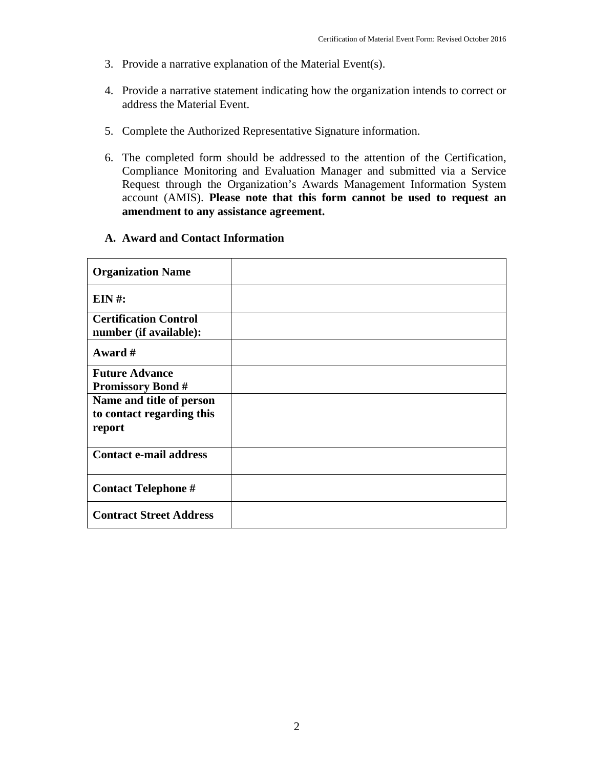- 3. Provide a narrative explanation of the Material Event(s).
- 4. Provide a narrative statement indicating how the organization intends to correct or address the Material Event.
- 5. Complete the Authorized Representative Signature information.
- 6. The completed form should be addressed to the attention of the Certification, Compliance Monitoring and Evaluation Manager and submitted via a Service Request through the Organization's Awards Management Information System account (AMIS). **Please note that this form cannot be used to request an amendment to any assistance agreement.**

#### **A. Award and Contact Information**

| <b>Organization Name</b>                                        |  |
|-----------------------------------------------------------------|--|
| $EIN$ #:                                                        |  |
| <b>Certification Control</b><br>number (if available):          |  |
| Award #                                                         |  |
| <b>Future Advance</b><br><b>Promissory Bond #</b>               |  |
| Name and title of person<br>to contact regarding this<br>report |  |
| <b>Contact e-mail address</b>                                   |  |
| <b>Contact Telephone #</b>                                      |  |
| <b>Contract Street Address</b>                                  |  |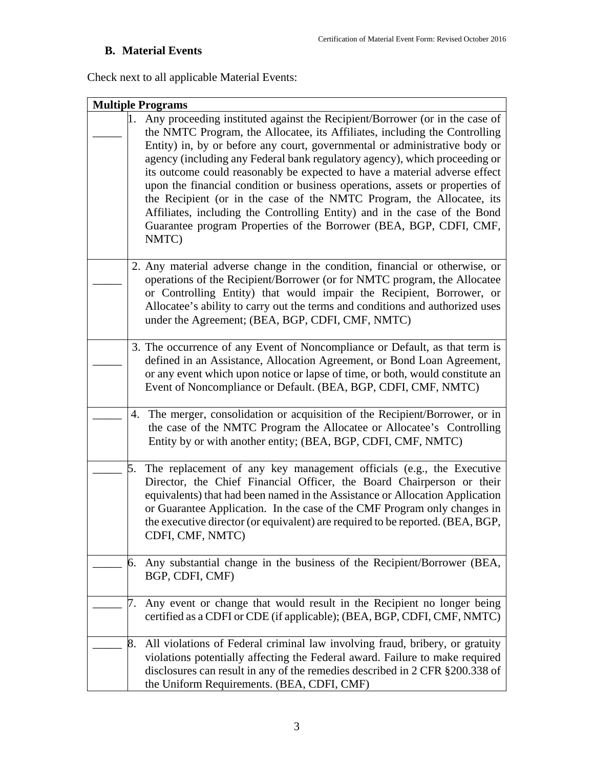# **B. Material Events**

Check next to all applicable Material Events:

| <b>Multiple Programs</b>                                                                                                                                                                                                                                                                                                                                                                                                                                                                                                                                                                                                                                                                                                       |  |  |
|--------------------------------------------------------------------------------------------------------------------------------------------------------------------------------------------------------------------------------------------------------------------------------------------------------------------------------------------------------------------------------------------------------------------------------------------------------------------------------------------------------------------------------------------------------------------------------------------------------------------------------------------------------------------------------------------------------------------------------|--|--|
| 1.<br>Any proceeding instituted against the Recipient/Borrower (or in the case of<br>the NMTC Program, the Allocatee, its Affiliates, including the Controlling<br>Entity) in, by or before any court, governmental or administrative body or<br>agency (including any Federal bank regulatory agency), which proceeding or<br>its outcome could reasonably be expected to have a material adverse effect<br>upon the financial condition or business operations, assets or properties of<br>the Recipient (or in the case of the NMTC Program, the Allocatee, its<br>Affiliates, including the Controlling Entity) and in the case of the Bond<br>Guarantee program Properties of the Borrower (BEA, BGP, CDFI, CMF,<br>NMTC) |  |  |
| 2. Any material adverse change in the condition, financial or otherwise, or<br>operations of the Recipient/Borrower (or for NMTC program, the Allocatee<br>or Controlling Entity) that would impair the Recipient, Borrower, or<br>Allocatee's ability to carry out the terms and conditions and authorized uses<br>under the Agreement; (BEA, BGP, CDFI, CMF, NMTC)                                                                                                                                                                                                                                                                                                                                                           |  |  |
| 3. The occurrence of any Event of Noncompliance or Default, as that term is<br>defined in an Assistance, Allocation Agreement, or Bond Loan Agreement,<br>or any event which upon notice or lapse of time, or both, would constitute an<br>Event of Noncompliance or Default. (BEA, BGP, CDFI, CMF, NMTC)                                                                                                                                                                                                                                                                                                                                                                                                                      |  |  |
| 4. The merger, consolidation or acquisition of the Recipient/Borrower, or in<br>the case of the NMTC Program the Allocate or Allocatee's Controlling<br>Entity by or with another entity; (BEA, BGP, CDFI, CMF, NMTC)                                                                                                                                                                                                                                                                                                                                                                                                                                                                                                          |  |  |
| The replacement of any key management officials (e.g., the Executive<br>5.<br>Director, the Chief Financial Officer, the Board Chairperson or their<br>equivalents) that had been named in the Assistance or Allocation Application<br>or Guarantee Application. In the case of the CMF Program only changes in<br>the executive director (or equivalent) are required to be reported. (BEA, BGP,<br>CDFI, CMF, NMTC)                                                                                                                                                                                                                                                                                                          |  |  |
| Any substantial change in the business of the Recipient/Borrower (BEA,<br>6.<br>BGP, CDFI, CMF)                                                                                                                                                                                                                                                                                                                                                                                                                                                                                                                                                                                                                                |  |  |
| Any event or change that would result in the Recipient no longer being<br>7.<br>certified as a CDFI or CDE (if applicable); (BEA, BGP, CDFI, CMF, NMTC)                                                                                                                                                                                                                                                                                                                                                                                                                                                                                                                                                                        |  |  |
| All violations of Federal criminal law involving fraud, bribery, or gratuity<br>8.<br>violations potentially affecting the Federal award. Failure to make required<br>disclosures can result in any of the remedies described in 2 CFR §200.338 of<br>the Uniform Requirements. (BEA, CDFI, CMF)                                                                                                                                                                                                                                                                                                                                                                                                                               |  |  |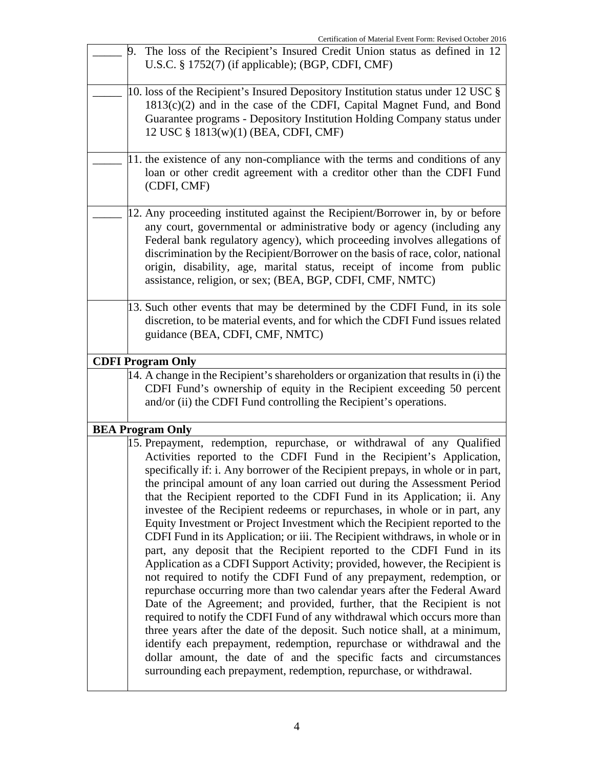|                          | Certification of Material Event Form: Revised October 2016                                                                                                                                                                                                                                                                                                                                                                                                                                                                                                                                                                                                                                                                                                                                                                                                                                                                                                                                                                                                                                                                                                                                                                                                                                                                                                                                                             |
|--------------------------|------------------------------------------------------------------------------------------------------------------------------------------------------------------------------------------------------------------------------------------------------------------------------------------------------------------------------------------------------------------------------------------------------------------------------------------------------------------------------------------------------------------------------------------------------------------------------------------------------------------------------------------------------------------------------------------------------------------------------------------------------------------------------------------------------------------------------------------------------------------------------------------------------------------------------------------------------------------------------------------------------------------------------------------------------------------------------------------------------------------------------------------------------------------------------------------------------------------------------------------------------------------------------------------------------------------------------------------------------------------------------------------------------------------------|
| 9.                       | The loss of the Recipient's Insured Credit Union status as defined in 12<br>U.S.C. § 1752(7) (if applicable); (BGP, CDFI, CMF)                                                                                                                                                                                                                                                                                                                                                                                                                                                                                                                                                                                                                                                                                                                                                                                                                                                                                                                                                                                                                                                                                                                                                                                                                                                                                         |
|                          | 10. loss of the Recipient's Insured Depository Institution status under 12 USC §<br>$1813(c)(2)$ and in the case of the CDFI, Capital Magnet Fund, and Bond<br>Guarantee programs - Depository Institution Holding Company status under<br>12 USC § 1813(w)(1) (BEA, CDFI, CMF)                                                                                                                                                                                                                                                                                                                                                                                                                                                                                                                                                                                                                                                                                                                                                                                                                                                                                                                                                                                                                                                                                                                                        |
|                          | 11. the existence of any non-compliance with the terms and conditions of any<br>loan or other credit agreement with a creditor other than the CDFI Fund<br>(CDFI, CMF)                                                                                                                                                                                                                                                                                                                                                                                                                                                                                                                                                                                                                                                                                                                                                                                                                                                                                                                                                                                                                                                                                                                                                                                                                                                 |
|                          | 12. Any proceeding instituted against the Recipient/Borrower in, by or before<br>any court, governmental or administrative body or agency (including any<br>Federal bank regulatory agency), which proceeding involves allegations of<br>discrimination by the Recipient/Borrower on the basis of race, color, national<br>origin, disability, age, marital status, receipt of income from public<br>assistance, religion, or sex; (BEA, BGP, CDFI, CMF, NMTC)                                                                                                                                                                                                                                                                                                                                                                                                                                                                                                                                                                                                                                                                                                                                                                                                                                                                                                                                                         |
|                          | 13. Such other events that may be determined by the CDFI Fund, in its sole<br>discretion, to be material events, and for which the CDFI Fund issues related<br>guidance (BEA, CDFI, CMF, NMTC)                                                                                                                                                                                                                                                                                                                                                                                                                                                                                                                                                                                                                                                                                                                                                                                                                                                                                                                                                                                                                                                                                                                                                                                                                         |
| <b>CDFI Program Only</b> |                                                                                                                                                                                                                                                                                                                                                                                                                                                                                                                                                                                                                                                                                                                                                                                                                                                                                                                                                                                                                                                                                                                                                                                                                                                                                                                                                                                                                        |
|                          | 14. A change in the Recipient's shareholders or organization that results in (i) the<br>CDFI Fund's ownership of equity in the Recipient exceeding 50 percent<br>and/or (ii) the CDFI Fund controlling the Recipient's operations.                                                                                                                                                                                                                                                                                                                                                                                                                                                                                                                                                                                                                                                                                                                                                                                                                                                                                                                                                                                                                                                                                                                                                                                     |
| <b>BEA Program Only</b>  |                                                                                                                                                                                                                                                                                                                                                                                                                                                                                                                                                                                                                                                                                                                                                                                                                                                                                                                                                                                                                                                                                                                                                                                                                                                                                                                                                                                                                        |
|                          | 15. Prepayment, redemption, repurchase, or withdrawal of any Qualified<br>Activities reported to the CDFI Fund in the Recipient's Application,<br>specifically if: i. Any borrower of the Recipient prepays, in whole or in part,<br>the principal amount of any loan carried out during the Assessment Period<br>that the Recipient reported to the CDFI Fund in its Application; ii. Any<br>investee of the Recipient redeems or repurchases, in whole or in part, any<br>Equity Investment or Project Investment which the Recipient reported to the<br>CDFI Fund in its Application; or iii. The Recipient withdraws, in whole or in<br>part, any deposit that the Recipient reported to the CDFI Fund in its<br>Application as a CDFI Support Activity; provided, however, the Recipient is<br>not required to notify the CDFI Fund of any prepayment, redemption, or<br>repurchase occurring more than two calendar years after the Federal Award<br>Date of the Agreement; and provided, further, that the Recipient is not<br>required to notify the CDFI Fund of any withdrawal which occurs more than<br>three years after the date of the deposit. Such notice shall, at a minimum,<br>identify each prepayment, redemption, repurchase or withdrawal and the<br>dollar amount, the date of and the specific facts and circumstances<br>surrounding each prepayment, redemption, repurchase, or withdrawal. |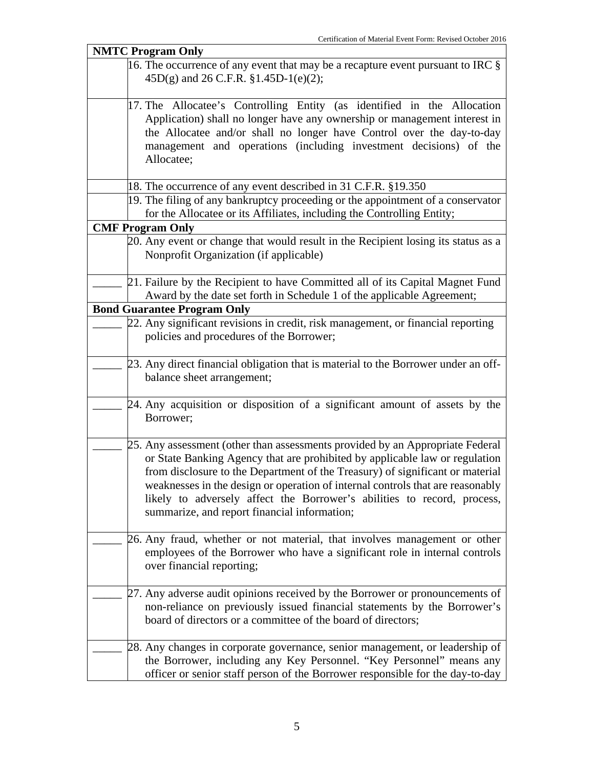| <b>NMTC Program Only</b>                                                           |  |  |
|------------------------------------------------------------------------------------|--|--|
| 16. The occurrence of any event that may be a recapture event pursuant to IRC $\S$ |  |  |
| 45D(g) and 26 C.F.R. §1.45D-1(e)(2);                                               |  |  |
|                                                                                    |  |  |
| 17. The Allocatee's Controlling Entity (as identified in the Allocation            |  |  |
| Application) shall no longer have any ownership or management interest in          |  |  |
| the Allocatee and/or shall no longer have Control over the day-to-day              |  |  |
| management and operations (including investment decisions) of the                  |  |  |
| Allocatee;                                                                         |  |  |
|                                                                                    |  |  |
| 18. The occurrence of any event described in 31 C.F.R. §19.350                     |  |  |
| 19. The filing of any bankruptcy proceeding or the appointment of a conservator    |  |  |
| for the Allocatee or its Affiliates, including the Controlling Entity;             |  |  |
| <b>CMF Program Only</b>                                                            |  |  |
| 20. Any event or change that would result in the Recipient losing its status as a  |  |  |
| Nonprofit Organization (if applicable)                                             |  |  |
|                                                                                    |  |  |
| 21. Failure by the Recipient to have Committed all of its Capital Magnet Fund      |  |  |
|                                                                                    |  |  |
| Award by the date set forth in Schedule 1 of the applicable Agreement;             |  |  |
| <b>Bond Guarantee Program Only</b>                                                 |  |  |
| 22. Any significant revisions in credit, risk management, or financial reporting   |  |  |
| policies and procedures of the Borrower;                                           |  |  |
|                                                                                    |  |  |
| 23. Any direct financial obligation that is material to the Borrower under an off- |  |  |
| balance sheet arrangement;                                                         |  |  |
|                                                                                    |  |  |
| 24. Any acquisition or disposition of a significant amount of assets by the        |  |  |
| Borrower;                                                                          |  |  |
|                                                                                    |  |  |
| 25. Any assessment (other than assessments provided by an Appropriate Federal      |  |  |
| or State Banking Agency that are prohibited by applicable law or regulation        |  |  |
| from disclosure to the Department of the Treasury) of significant or material      |  |  |
| weaknesses in the design or operation of internal controls that are reasonably     |  |  |
| likely to adversely affect the Borrower's abilities to record, process,            |  |  |
| summarize, and report financial information;                                       |  |  |
|                                                                                    |  |  |
| 26. Any fraud, whether or not material, that involves management or other          |  |  |
|                                                                                    |  |  |
| employees of the Borrower who have a significant role in internal controls         |  |  |
| over financial reporting;                                                          |  |  |
|                                                                                    |  |  |
| 27. Any adverse audit opinions received by the Borrower or pronouncements of       |  |  |
| non-reliance on previously issued financial statements by the Borrower's           |  |  |
| board of directors or a committee of the board of directors;                       |  |  |
|                                                                                    |  |  |
| 28. Any changes in corporate governance, senior management, or leadership of       |  |  |
| the Borrower, including any Key Personnel. "Key Personnel" means any               |  |  |
| officer or senior staff person of the Borrower responsible for the day-to-day      |  |  |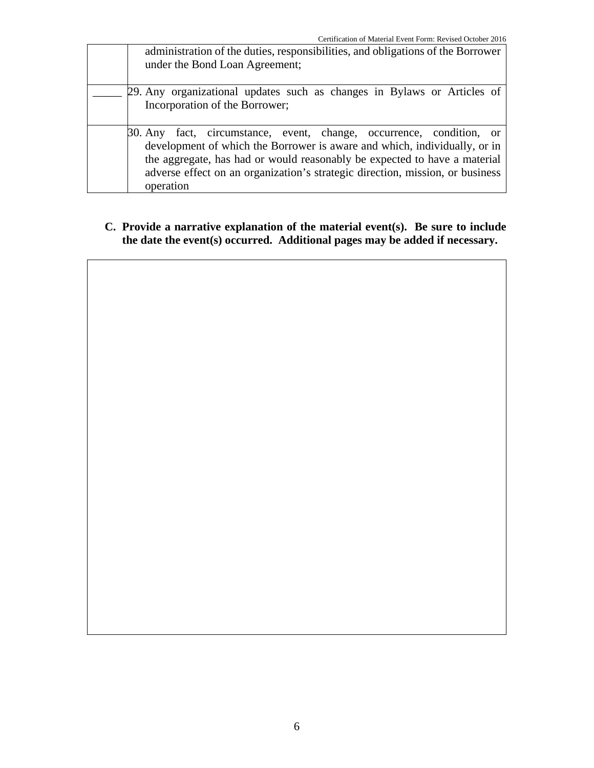| administration of the duties, responsibilities, and obligations of the Borrower<br>under the Bond Loan Agreement;                                                                                                                                                                                                            |
|------------------------------------------------------------------------------------------------------------------------------------------------------------------------------------------------------------------------------------------------------------------------------------------------------------------------------|
| 29. Any organizational updates such as changes in Bylaws or Articles of<br>Incorporation of the Borrower;                                                                                                                                                                                                                    |
| 30. Any fact, circumstance, event, change, occurrence, condition, or<br>development of which the Borrower is aware and which, individually, or in<br>the aggregate, has had or would reasonably be expected to have a material<br>adverse effect on an organization's strategic direction, mission, or business<br>operation |

### **C. Provide a narrative explanation of the material event(s). Be sure to include the date the event(s) occurred. Additional pages may be added if necessary.**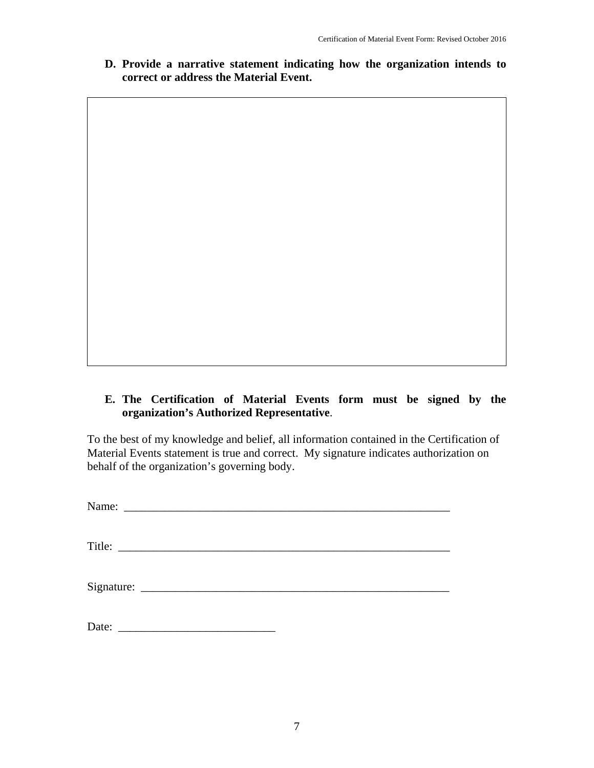**D. Provide a narrative statement indicating how the organization intends to correct or address the Material Event.**

## **E. The Certification of Material Events form must be signed by the organization's Authorized Representative**.

To the best of my knowledge and belief, all information contained in the Certification of Material Events statement is true and correct. My signature indicates authorization on behalf of the organization's governing body.

| Title: |  |
|--------|--|
|        |  |
|        |  |